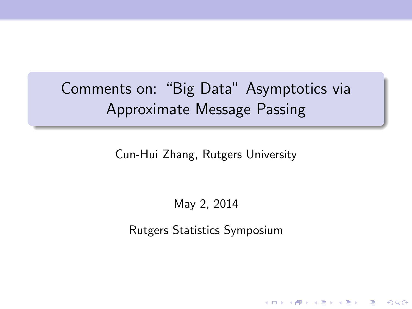Comments on: "Big Data" Asymptotics via Approximate Message Passing

Cun-Hui Zhang, Rutgers University

May 2, 2014

Rutgers Statistics Symposium

**KORK ERKER ADE YOUR**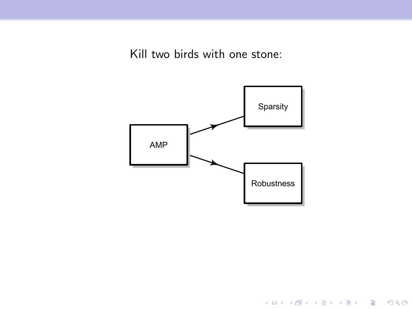Kill two birds with one stone:



K ロ X イロ X K ミ X K ミ X ミ → S V C Y C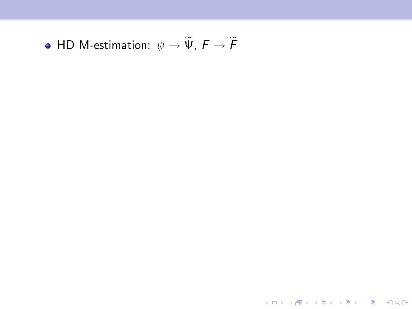• HD M-estimation:  $\psi \to \widetilde{\Psi}$ ,  $F \to \widetilde{F}$ 

K ロ ▶ K @ ▶ K 할 ▶ K 할 ▶ | 할 | 2000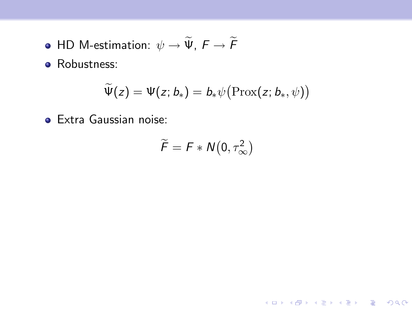- HD M-estimation:  $\psi \to \widetilde{\Psi}$ ,  $F \to \widetilde{F}$
- Robustness:

$$
\widetilde{\Psi}(z)=\Psi(z;b_*)=b_*\psi\bigl(\text{Prox}(z;b_*,\psi)\bigr)
$$

Extra Gaussian noise:

$$
\widetilde{F} = F * N(0, \tau_{\infty}^2)
$$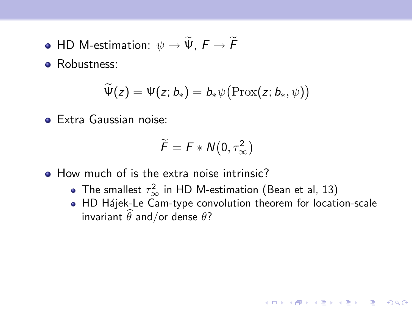- HD M-estimation:  $\psi \to \widetilde{\Psi}$ ,  $F \to \widetilde{F}$
- Robustness:

$$
\widetilde{\Psi}(z)=\Psi(z;b_*)=b_*\psi\bigl(\text{Prox}(z;b_*,\psi)\bigr)
$$

**•** Extra Gaussian noise:

$$
\widetilde{F} = F * N(0, \tau_{\infty}^2)
$$

- How much of is the extra noise intrinsic?
	- The smallest  $\tau_{\infty}^2$  in HD M-estimation (Bean et al, 13)
	- HD Hájek-Le Cam-type convolution theorem for location-scale invariant  $\widehat{\theta}$  and/or dense  $\theta$ ?

K ロ ▶ K @ ▶ K 할 > K 할 > 1 할 > 1 이익어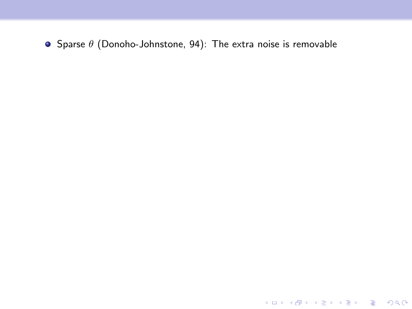Sparse  $\theta$  (Donoho-Johnstone, 94): The extra noise is removable

**K ロ ▶ K 레 ▶ K 로 ▶ K 로 ▶ - 로 - K 이 이 이 이**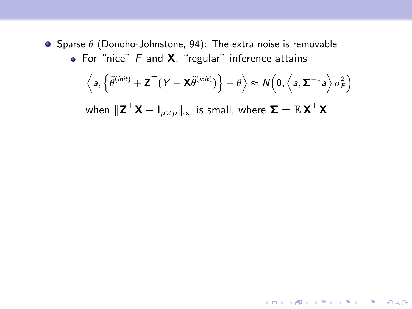**•** Sparse  $\theta$  (Donoho-Johnstone, 94): The extra noise is removable • For "nice"  $F$  and  $X$ , "regular" inference attains

$$
\left\langle a, \left\lbrace \widehat{\theta}^{(\textit{init})} + \mathbf{Z}^\top (\boldsymbol{Y} - \mathbf{X} \widehat{\theta}^{(\textit{init})}) \right\rbrace - \theta \right\rangle \approx \mathcal{N} \Big( 0, \left\langle a, \boldsymbol{\Sigma}^{-1} a \right\rangle \sigma^2_{\mathsf{F}} \Big)
$$

when  $\|{\sf Z}^\top{\sf X} - {\sf I}_{\rho\times\rho}\|_\infty$  is small, where  ${\sf \Sigma} = \mathbb{E}{\sf X}^\top{\sf X}$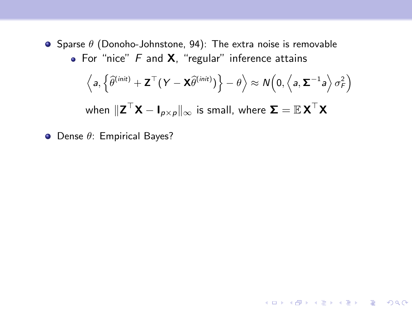**•** Sparse  $\theta$  (Donoho-Johnstone, 94): The extra noise is removable • For "nice"  $F$  and  $X$ , "regular" inference attains

$$
\left\langle a, \left\{ \widehat{\theta}^{(\textit{init})} + \mathbf{Z}^{\top} (Y - \mathbf{X} \widehat{\theta}^{(\textit{init})}) \right\} - \theta \right\rangle \approx \mathcal{N} \left( 0, \left\langle a, \mathbf{\Sigma}^{-1} a \right\rangle \sigma_{\mathsf{F}}^{2} \right)
$$

when  $\|{\sf Z}^\top{\sf X} - {\sf I}_{\rho\times\rho}\|_\infty$  is small, where  ${\sf \Sigma} = \mathbb{E}{\sf X}^\top{\sf X}$ 

 $\bullet$  Dense  $\theta$ : Empirical Bayes?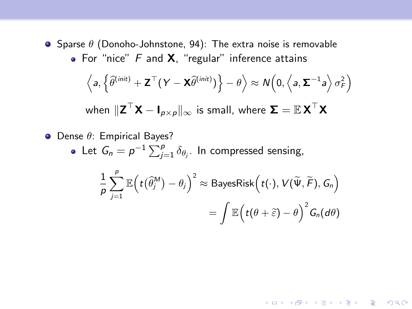- **•** Sparse  $\theta$  (Donoho-Johnstone, 94): The extra noise is removable
	- For "nice"  $F$  and  $X$ , "regular" inference attains

$$
\left\langle a, \left\{ \widehat{\theta}^{(init)} + \mathbf{Z}^{\top} (Y - \mathbf{X} \widehat{\theta}^{(init)}) \right\} - \theta \right\rangle \approx N \Big( 0, \left\langle a, \mathbf{\Sigma}^{-1} a \right\rangle \sigma_F^2 \Big)
$$
  
when  $\|\mathbf{Z}^{\top} \mathbf{X} - \mathbf{I}_{p \times p}\|_{\infty}$  is small, where  $\mathbf{\Sigma} = \mathbb{E} \mathbf{X}^{\top} \mathbf{X}$ 

 $\bullet$  Dense  $\theta$ : Empirical Bayes? Let  $G_n = p^{-1} \sum_{j=1}^p \delta_{\theta_j}$ . In compressed sensing, 1 p  $\sum_{i=1}^{p}$  $\mathbb{E}\Big(t\big(\widehat\theta_j^M\big)-\theta_j\Big)^2\approx \mathsf{BayesRisk}\Big(t(\cdot),V(\widetilde{\Psi},\widetilde{\mathsf{F}}),\mathsf{G}_n\Big)$ 

$$
\sum_{j=1}^{\infty} \mathbb{E}\left(t(\theta_j - \theta_j)\right) \approx \text{Bayesrank}\left(t(\cdot), v(\Psi, r), \mathbf{G}_n\right)
$$

$$
= \int \mathbb{E}\left(t(\theta + \widetilde{\varepsilon}) - \theta\right)^2 G_n(d\theta)
$$

4 D > 4 P + 4 B + 4 B + B + 9 Q O